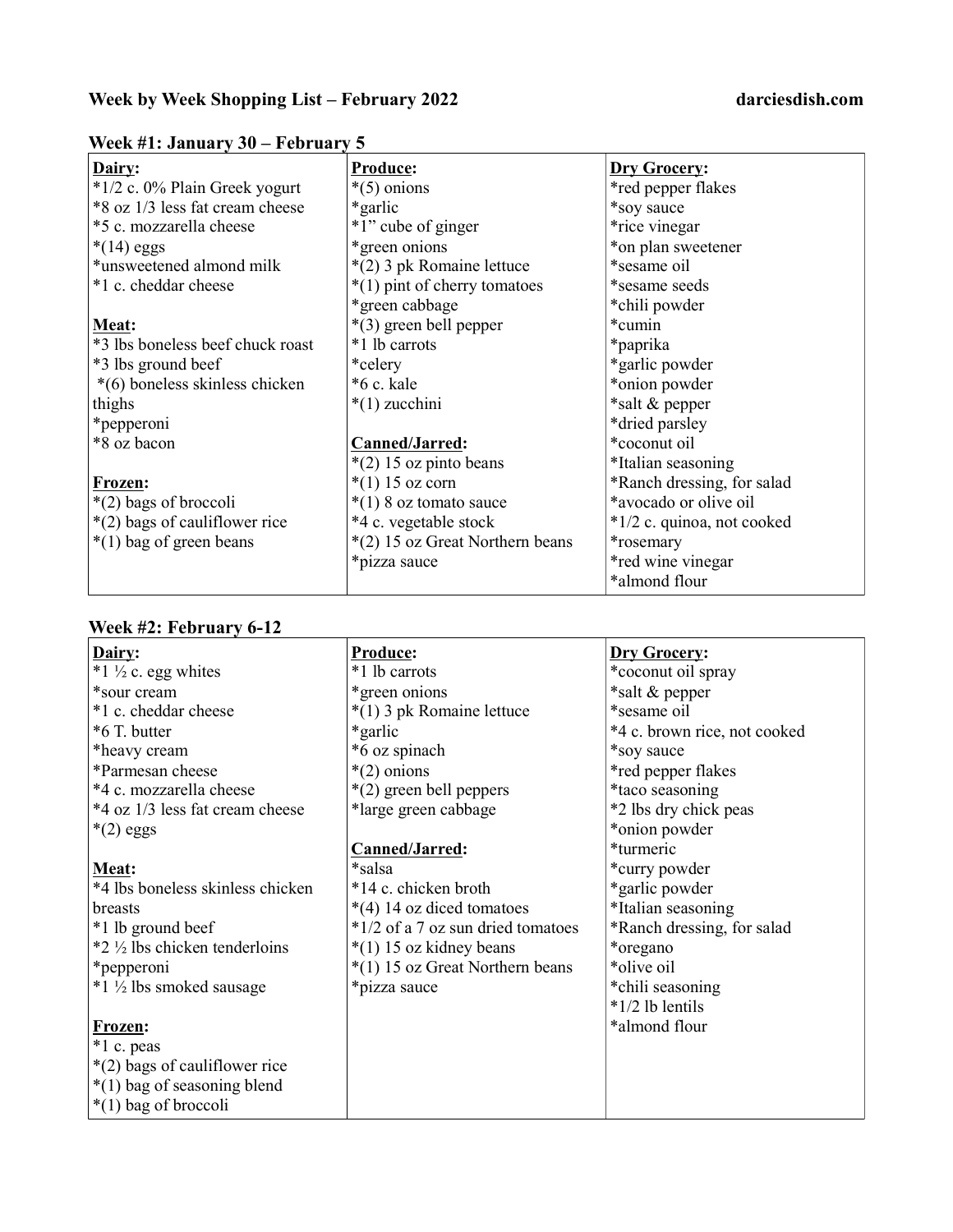# Week by Week Shopping List – February 2022 darciesdish.com

| $\mathbf{W}\mathbf{C}\mathbf{C}\mathbf{N}$ $\mathbf{F1}$ . Januar $\mathbf{V}$ J $\mathbf{U}$ $\mathbf{V}$ $\mathbf{V}$ is the set of $\mathbf{V}$<br>Dairy: | <b>Produce:</b>                 | <b>Dry Grocery:</b>        |
|--------------------------------------------------------------------------------------------------------------------------------------------------------------|---------------------------------|----------------------------|
| *1/2 c. 0% Plain Greek yogurt                                                                                                                                | $*(5)$ onions                   | *red pepper flakes         |
| *8 oz 1/3 less fat cream cheese                                                                                                                              | *garlic                         | *soy sauce                 |
| *5 c. mozzarella cheese                                                                                                                                      | *1" cube of ginger              | *rice vinegar              |
| $*(14)$ eggs                                                                                                                                                 | *green onions                   | *on plan sweetener         |
| *unsweetened almond milk                                                                                                                                     | *(2) 3 pk Romaine lettuce       | *sesame oil                |
| *1 c. cheddar cheese                                                                                                                                         | *(1) pint of cherry tomatoes    | *sesame seeds              |
|                                                                                                                                                              | *green cabbage                  | *chili powder              |
| Meat:                                                                                                                                                        | *(3) green bell pepper          | *cumin                     |
| *3 lbs boneless beef chuck roast                                                                                                                             | *1 lb carrots                   | *paprika                   |
| *3 lbs ground beef                                                                                                                                           | *celery                         | *garlic powder             |
| *(6) boneless skinless chicken                                                                                                                               | *6 c. kale                      | *onion powder              |
| thighs                                                                                                                                                       | $*(1)$ zucchini                 | *salt & pepper             |
| *pepperoni                                                                                                                                                   |                                 | *dried parsley             |
| *8 oz bacon                                                                                                                                                  | Canned/Jarred:                  | *coconut oil               |
|                                                                                                                                                              | $*(2)$ 15 oz pinto beans        | *Italian seasoning         |
| <b>Frozen:</b>                                                                                                                                               | $*(1) 15$ oz corn               | *Ranch dressing, for salad |
| $*(2)$ bags of broccoli                                                                                                                                      | $*(1)$ 8 oz tomato sauce        | *avocado or olive oil      |
| *(2) bags of cauliflower rice                                                                                                                                | *4 c. vegetable stock           | *1/2 c. quinoa, not cooked |
| $*(1)$ bag of green beans                                                                                                                                    | *(2) 15 oz Great Northern beans | <i>*rosemary</i>           |
|                                                                                                                                                              | *pizza sauce                    | *red wine vinegar          |
|                                                                                                                                                              |                                 | *almond flour              |

# Week #1: January 30 – February 5

### Week #2: February 6-12

| Dairy:                                  | Produce:                          | <b>Dry Grocery:</b>          |
|-----------------------------------------|-----------------------------------|------------------------------|
| $*1 \frac{1}{2}$ c. egg whites          | *1 lb carrots                     | *coconut oil spray           |
| *sour cream                             | *green onions                     | *salt & pepper               |
| *1 c. cheddar cheese                    | *(1) 3 pk Romaine lettuce         | *sesame oil                  |
| *6 T. butter                            | *garlic                           | *4 c. brown rice, not cooked |
| *heavy cream                            | *6 oz spinach                     | *soy sauce                   |
| *Parmesan cheese                        | $*(2)$ onions                     | *red pepper flakes           |
| *4 c. mozzarella cheese                 | *(2) green bell peppers           | *taco seasoning              |
| *4 oz 1/3 less fat cream cheese         | *large green cabbage              | *2 lbs dry chick peas        |
| $*(2)$ eggs                             |                                   | *onion powder                |
|                                         | Canned/Jarred:                    | *turmeric                    |
| Meat:                                   | *salsa                            | *curry powder                |
| *4 lbs boneless skinless chicken        | *14 c. chicken broth              | *garlic powder               |
| breasts                                 | $*(4)$ 14 oz diced tomatoes       | *Italian seasoning           |
| *1 lb ground beef                       | *1/2 of a 7 oz sun dried tomatoes | *Ranch dressing, for salad   |
| $*2\frac{1}{2}$ lbs chicken tenderloins | $*(1)$ 15 oz kidney beans         | *oregano                     |
| *pepperoni                              | *(1) 15 oz Great Northern beans   | *olive oil                   |
| $*1 \frac{1}{2}$ lbs smoked sausage     | *pizza sauce                      | *chili seasoning             |
|                                         |                                   | $*1/2$ lb lentils            |
| Frozen:                                 |                                   | *almond flour                |
| *1 c. peas                              |                                   |                              |
| *(2) bags of cauliflower rice           |                                   |                              |
| $*(1)$ bag of seasoning blend           |                                   |                              |
| $*(1)$ bag of broccoli                  |                                   |                              |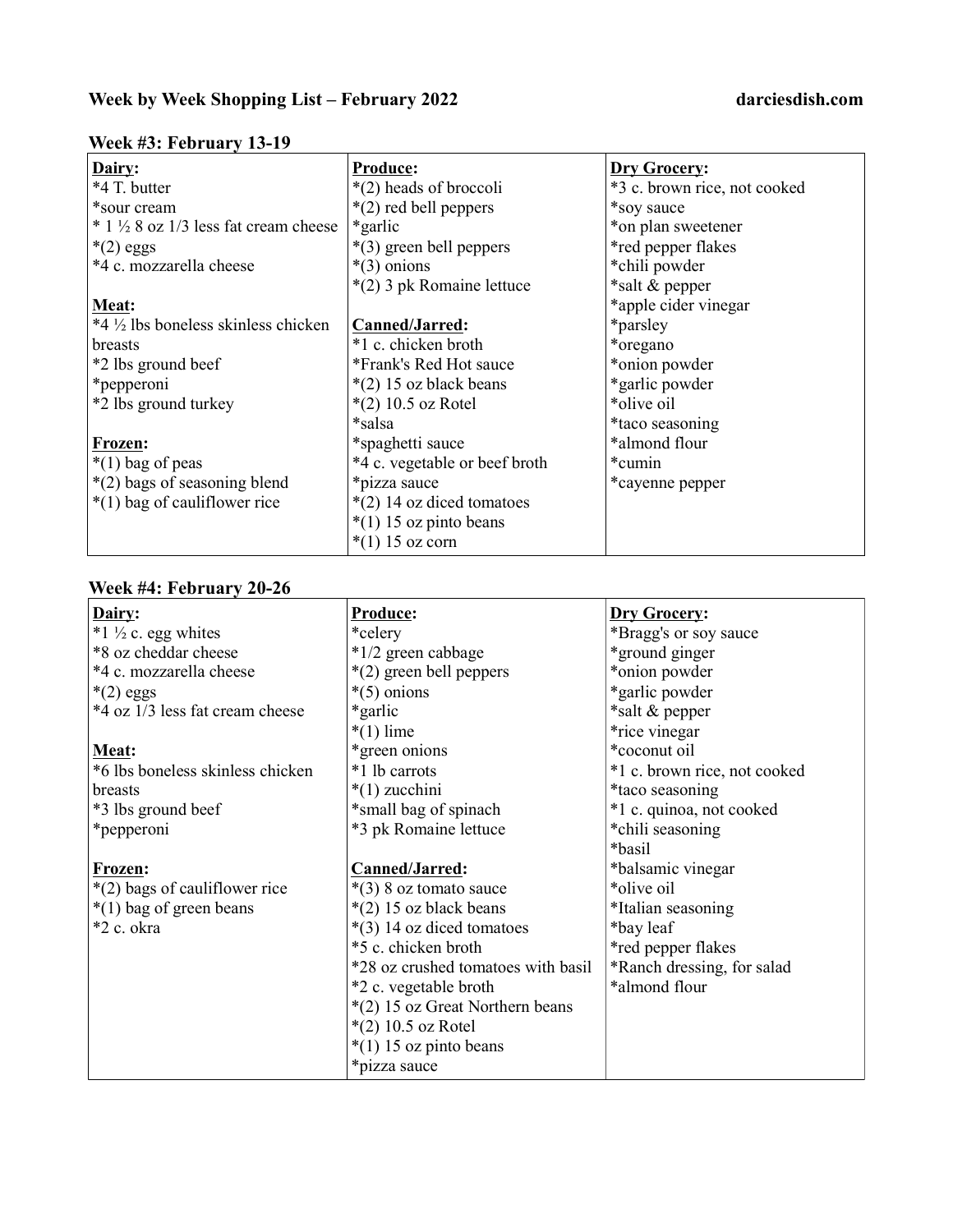# Week by Week Shopping List – February 2022 darciesdish.com

 $\overline{\phantom{a}}$ 

| Dairy:                                             | <b>Produce:</b>               | <b>Dry Grocery:</b>          |
|----------------------------------------------------|-------------------------------|------------------------------|
| *4 T. butter                                       | *(2) heads of broccoli        | *3 c. brown rice, not cooked |
| *sour cream                                        | $*(2)$ red bell peppers       | *soy sauce                   |
| $*$ 1 $\frac{1}{2}$ 8 oz 1/3 less fat cream cheese | *garlic*                      | *on plan sweetener           |
| $*(2)$ eggs                                        | $*(3)$ green bell peppers     | *red pepper flakes           |
| *4 c. mozzarella cheese                            | $*(3)$ onions                 | *chili powder                |
|                                                    | *(2) 3 pk Romaine lettuce     | *salt & pepper               |
| Meat:                                              |                               | *apple cider vinegar         |
| $*4\frac{1}{2}$ lbs boneless skinless chicken      | Canned/Jarred:                | *parsley                     |
| breasts                                            | *1 c. chicken broth           | *oregano                     |
| *2 lbs ground beef                                 | *Frank's Red Hot sauce        | *onion powder                |
| *pepperoni                                         | $*(2)$ 15 oz black beans      | *garlic powder               |
| *2 lbs ground turkey                               | $*(2)$ 10.5 oz Rotel          | *olive oil                   |
|                                                    | *salsa                        | *taco seasoning              |
| Frozen:                                            | *spaghetti sauce              | *almond flour                |
| $*(1)$ bag of peas                                 | *4 c. vegetable or beef broth | *cumin                       |
| $*(2)$ bags of seasoning blend                     | *pizza sauce                  | *cayenne pepper              |
| $*(1)$ bag of cauliflower rice                     | $*(2)$ 14 oz diced tomatoes   |                              |
|                                                    | $*(1)$ 15 oz pinto beans      |                              |
|                                                    | $*(1) 15$ oz corn             |                              |

### Week #3: February 13-19

### Week #4: February 20-26

| Dairy:                           | Produce:                           | <b>Dry Grocery:</b>          |
|----------------------------------|------------------------------------|------------------------------|
| *1 $\frac{1}{2}$ c. egg whites   | *celery                            | *Bragg's or soy sauce        |
| *8 oz cheddar cheese             | $*1/2$ green cabbage               | *ground ginger               |
| *4 c. mozzarella cheese          | *(2) green bell peppers            | *onion powder                |
| $*(2)$ eggs                      | $*(5)$ onions                      | *garlic powder               |
| *4 oz 1/3 less fat cream cheese  | *garlic                            | *salt & pepper               |
|                                  | $*(1)$ lime                        | *rice vinegar                |
| Meat:                            | *green onions                      | *coconut oil                 |
| *6 lbs boneless skinless chicken | *1 lb carrots                      | *1 c. brown rice, not cooked |
| breasts                          | $*(1)$ zucchini                    | *taco seasoning              |
| *3 lbs ground beef               | *small bag of spinach              | *1 c. quinoa, not cooked     |
| *pepperoni                       | *3 pk Romaine lettuce              | *chili seasoning             |
|                                  |                                    | *basil                       |
| Frozen:                          | Canned/Jarred:                     | *balsamic vinegar            |
| $*(2)$ bags of cauliflower rice  | $*(3)$ 8 oz tomato sauce           | *olive oil                   |
| $*(1)$ bag of green beans        | $*(2)$ 15 oz black beans           | *Italian seasoning           |
| *2 c. okra                       | $*(3)$ 14 oz diced tomatoes        | *bay leaf                    |
|                                  | *5 c. chicken broth                | *red pepper flakes           |
|                                  | *28 oz crushed tomatoes with basil | *Ranch dressing, for salad   |
|                                  | *2 c. vegetable broth              | *almond flour                |
|                                  | $*(2)$ 15 oz Great Northern beans  |                              |
|                                  | $*(2)$ 10.5 oz Rotel               |                              |
|                                  | $*(1)$ 15 oz pinto beans           |                              |
|                                  | *pizza sauce                       |                              |